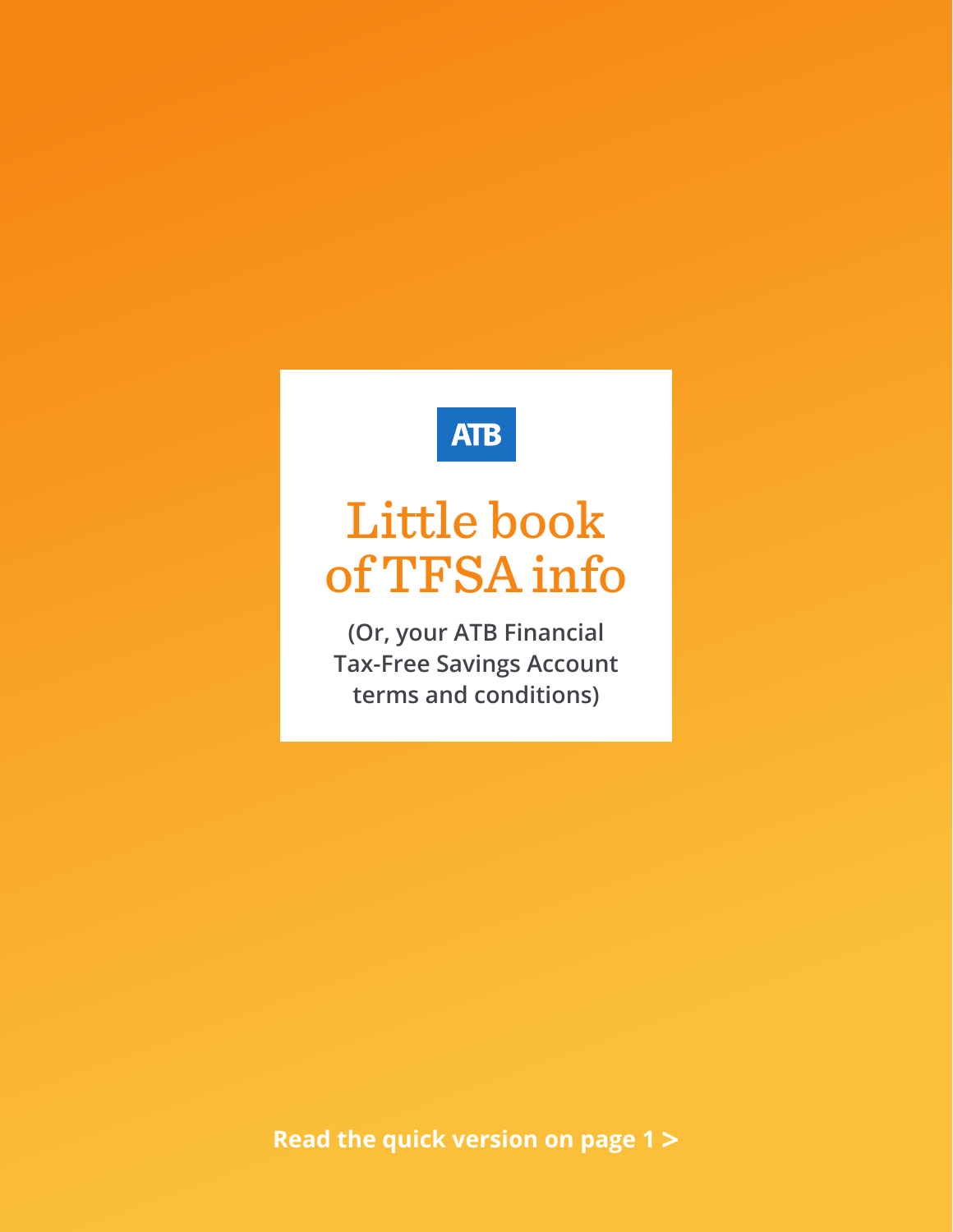# **ATB**

# Little book of TFSA info

**(Or, your ATB Financial Tax-Free Savings Account terms and conditions)**

**Read the quick version on page 1 >**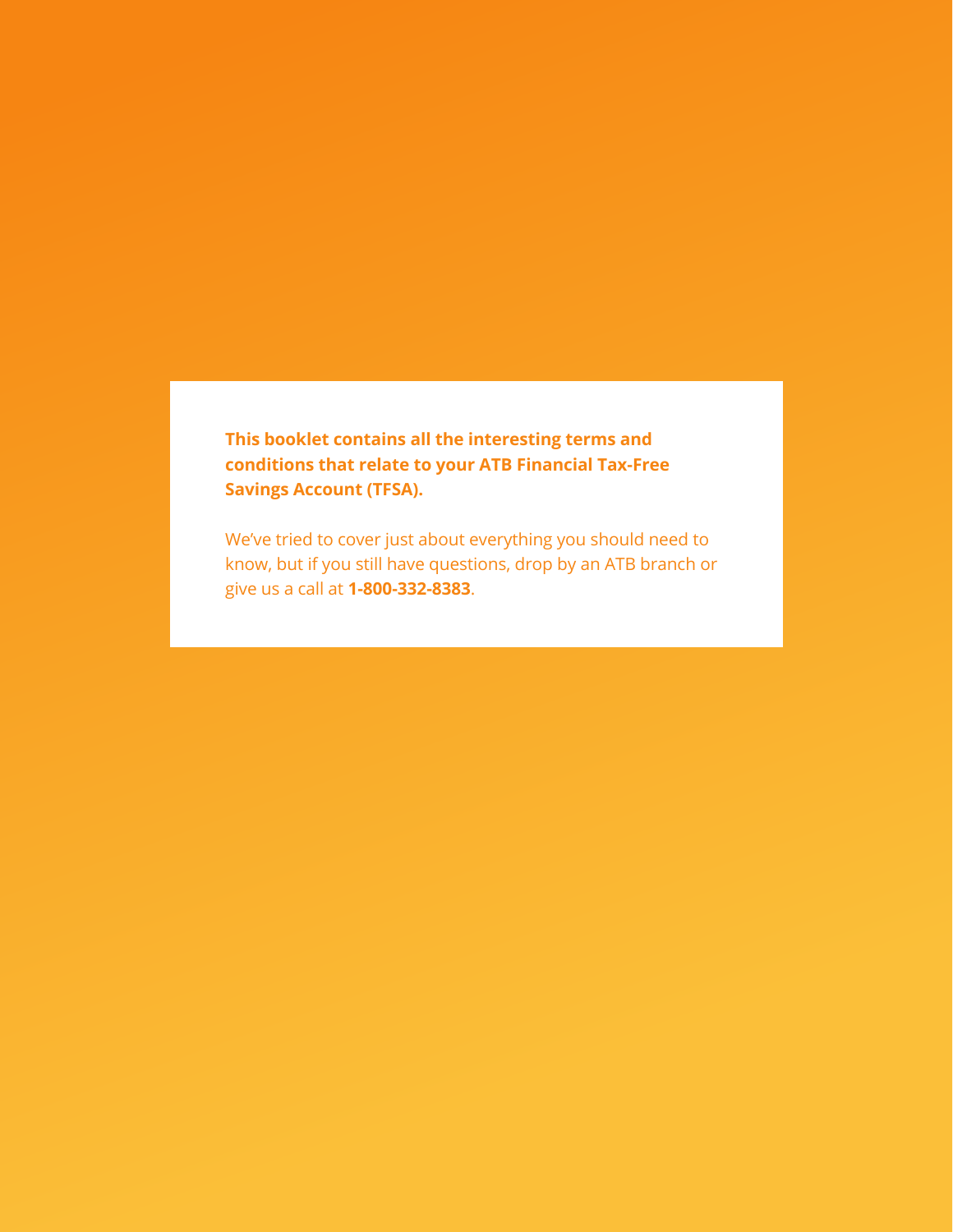**This booklet contains all the interesting terms and conditions that relate to your ATB Financial Tax-Free Savings Account (TFSA).**

We've tried to cover just about everything you should need to know, but if you still have questions, drop by an ATB branch or give us a call at **1-800-332-8383**.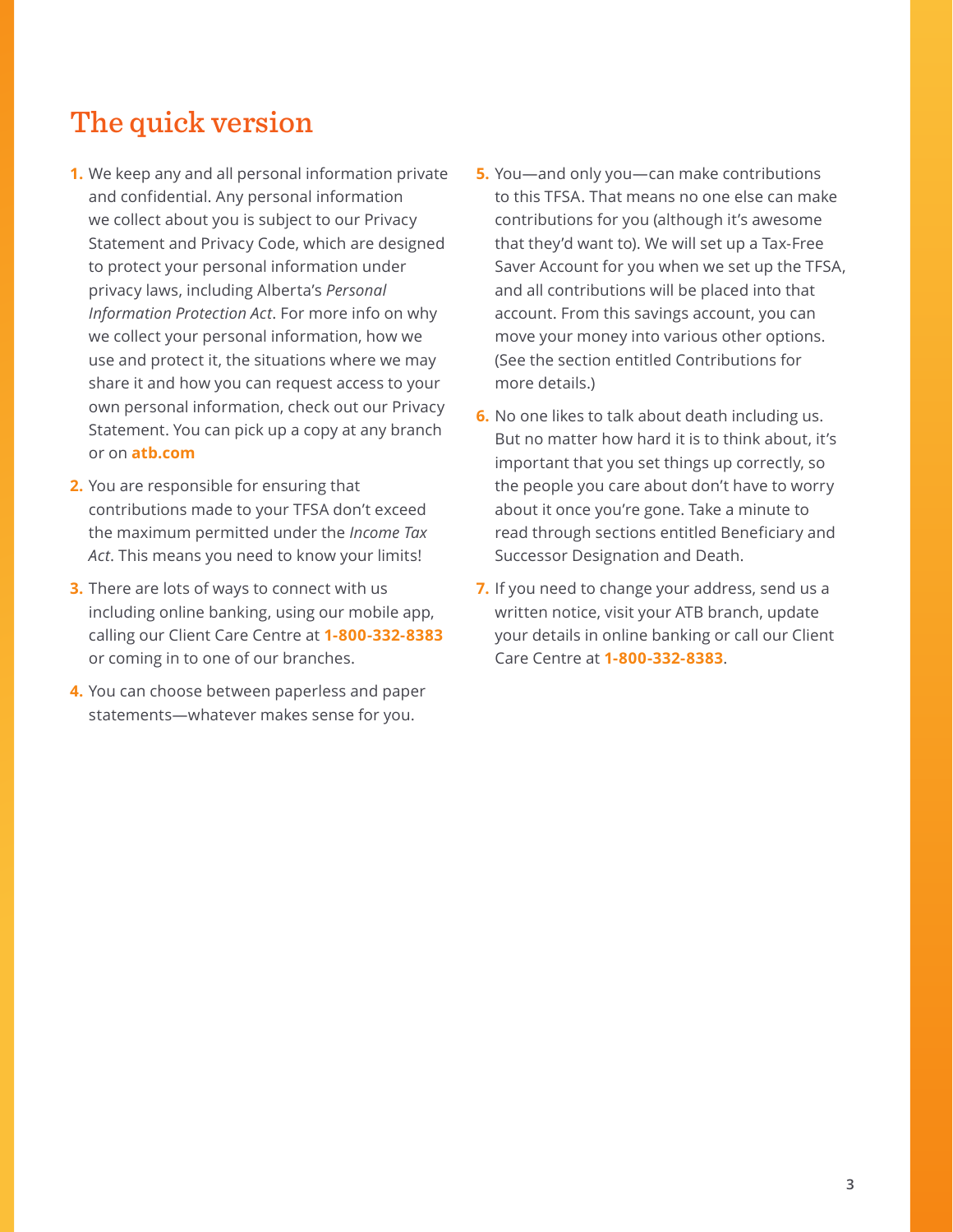### The quick version

- **1.** We keep any and all personal information private and confidential. Any personal information we collect about you is subject to our Privacy Statement and Privacy Code, which are designed to protect your personal information under privacy laws, including Alberta's *Personal Information Protection Act*. For more info on why we collect your personal information, how we use and protect it, the situations where we may share it and how you can request access to your own personal information, check out our Privacy Statement. You can pick up a copy at any branch or on **atb.com**
- **2.** You are responsible for ensuring that contributions made to your TFSA don't exceed the maximum permitted under the *Income Tax Act*. This means you need to know your limits!
- **3.** There are lots of ways to connect with us including online banking, using our mobile app, calling our Client Care Centre at **1-800-332-8383** or coming in to one of our branches.
- **4.** You can choose between paperless and paper statements—whatever makes sense for you.
- **5.** You—and only you—can make contributions to this TFSA. That means no one else can make contributions for you (although it's awesome that they'd want to). We will set up a Tax-Free Saver Account for you when we set up the TFSA, and all contributions will be placed into that account. From this savings account, you can move your money into various other options. (See the section entitled Contributions for more details.)
- **6.** No one likes to talk about death including us. But no matter how hard it is to think about, it's important that you set things up correctly, so the people you care about don't have to worry about it once you're gone. Take a minute to read through sections entitled Beneficiary and Successor Designation and Death.
- **7.** If you need to change your address, send us a written notice, visit your ATB branch, update your details in online banking or call our Client Care Centre at **1-800-332-8383**.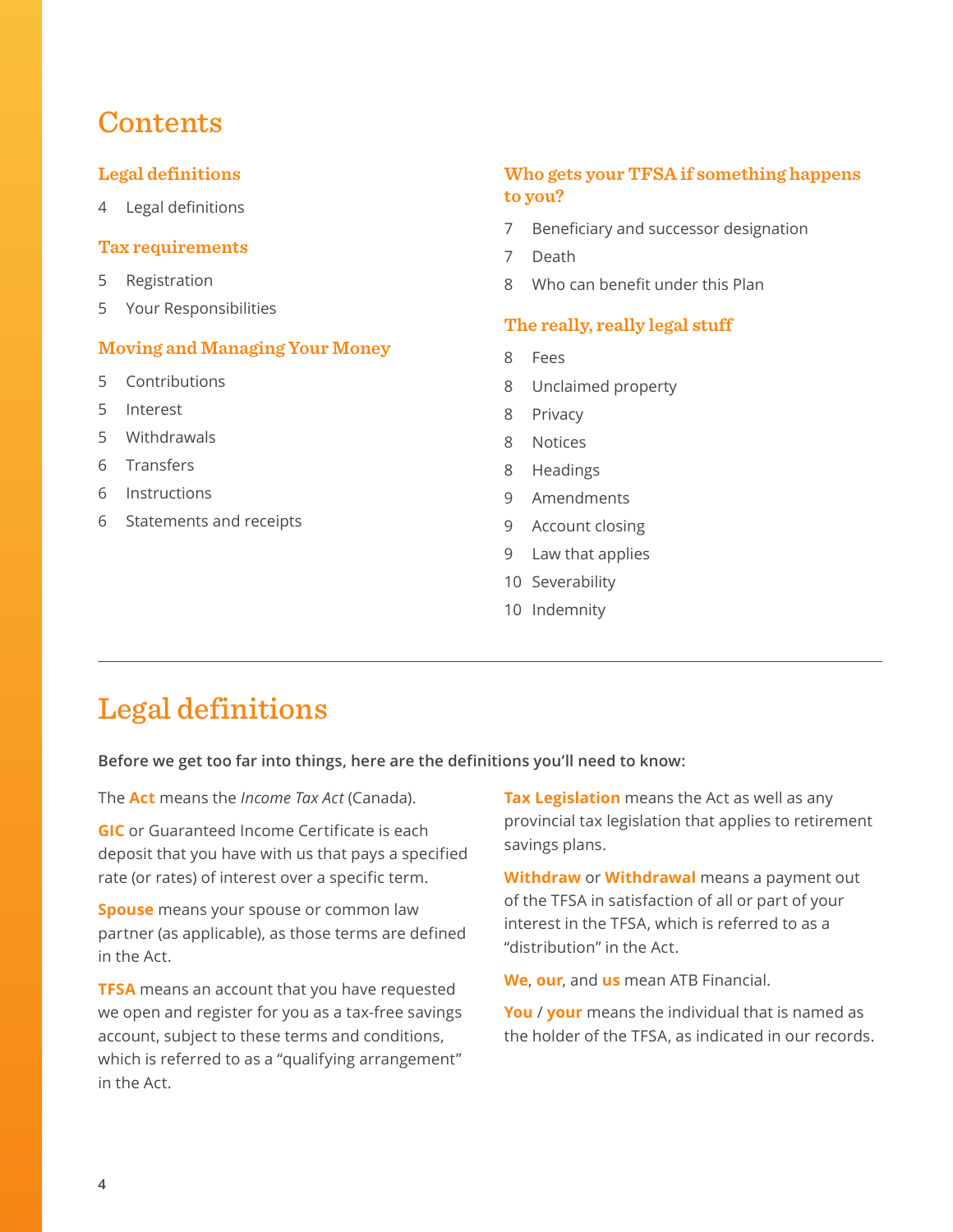### **Contents**

#### **Legal definitions**

4 Legal definitions

#### **[Tax requirements](#page-4-0)**

- 5 [Registration](#page-4-0)
- 5 [Your Responsibilities](#page-4-0)

#### **[Moving and Managing Your Money](#page-4-0)**

- 5 [Contributions](#page-4-0)
- 5 [Interest](#page-4-0)
- 5 [Withdrawals](#page-4-0)
- 6 [Transfers](#page-5-0)
- 6 [Instructions](#page-5-0)
- 6 [Statements and receipts](#page-5-0)

#### **[Who gets your TFSA if something happens](#page-6-0)  [to you?](#page-6-0)**

- 7 [Beneficiary and successor designation](#page-6-0)
- 7 [Death](#page-6-0)
- 8 [Who can benefit under this Plan](#page-7-0)

#### **[The really, really legal stuff](#page-7-0)**

- 8 [Fees](#page-7-0)
- 8 [Unclaimed property](#page-7-0)
- 8 [Privacy](#page-7-0)
- 8 [Notices](#page-7-0)
- 8 [Headings](#page-7-0)
- 9 [Amendments](#page-8-0)
- 9 [Account closing](#page-8-0)
- 9 [Law that applies](#page-8-0)
- 10 [Severability](#page-9-0)
- 10 [Indemnity](#page-9-0)

### Legal definitions

**Before we get too far into things, here are the definitions you'll need to know:**

The **Act** means the *Income Tax Act* (Canada).

**GIC** or Guaranteed Income Certificate is each deposit that you have with us that pays a specified rate (or rates) of interest over a specific term.

**Spouse** means your spouse or common law partner (as applicable), as those terms are defined in the Act.

**TFSA** means an account that you have requested we open and register for you as a tax-free savings account, subject to these terms and conditions, which is referred to as a "qualifying arrangement" in the Act.

**Tax Legislation** means the Act as well as any provincial tax legislation that applies to retirement savings plans.

**Withdraw** or **Withdrawal** means a payment out of the TFSA in satisfaction of all or part of your interest in the TFSA, which is referred to as a "distribution" in the Act.

**We**, **our**, and **us** mean ATB Financial.

**You** / **your** means the individual that is named as the holder of the TFSA, as indicated in our records.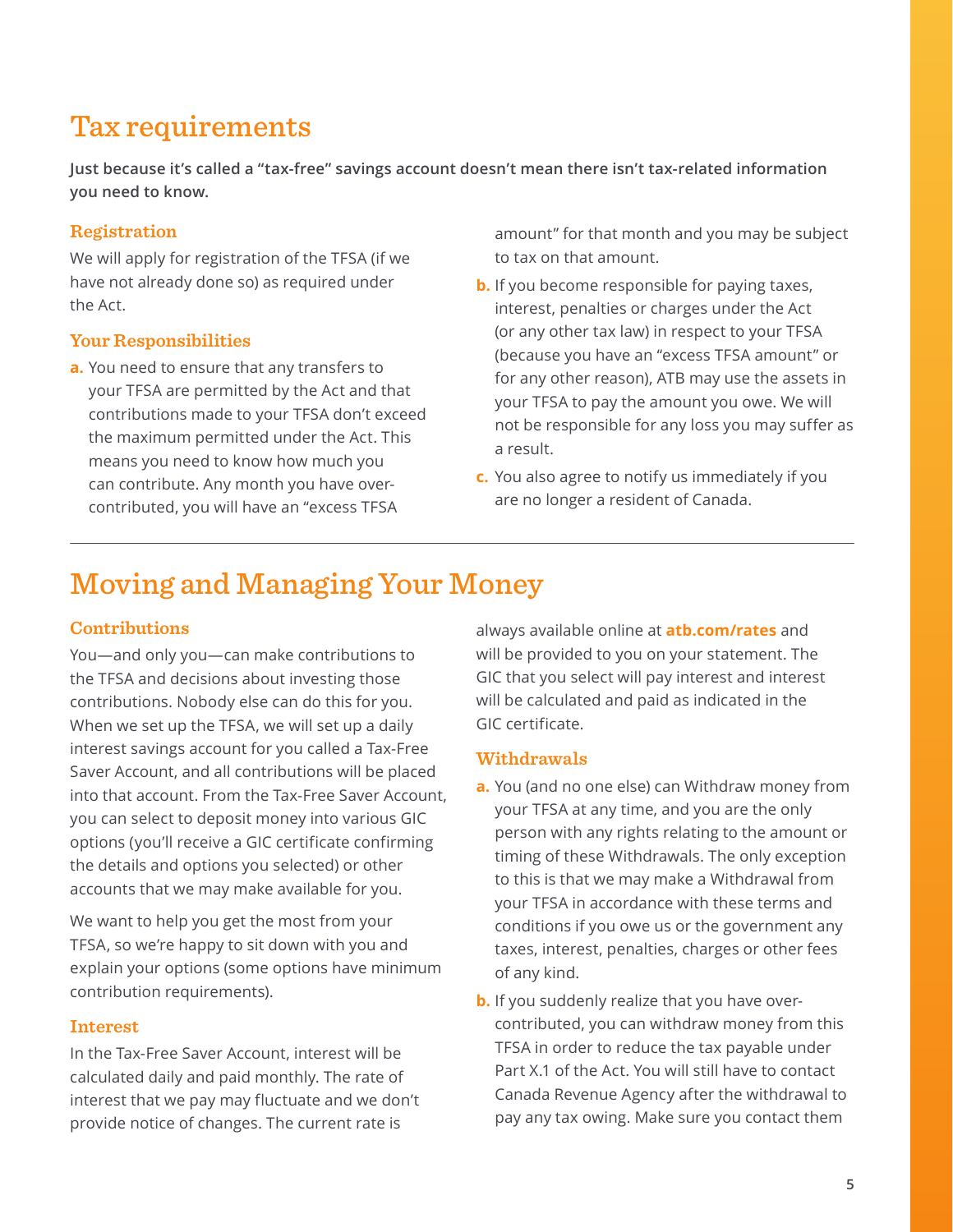# <span id="page-4-0"></span>Tax requirements

**Just because it's called a "tax-free" savings account doesn't mean there isn't tax-related information you need to know.**

#### **Registration**

We will apply for registration of the TFSA (if we have not already done so) as required under the Act.

#### **Your Responsibilities**

**a.** You need to ensure that any transfers to your TFSA are permitted by the Act and that contributions made to your TFSA don't exceed the maximum permitted under the Act. This means you need to know how much you can contribute. Any month you have overcontributed, you will have an "excess TFSA

amount" for that month and you may be subject to tax on that amount.

- **b.** If you become responsible for paying taxes, interest, penalties or charges under the Act (or any other tax law) in respect to your TFSA (because you have an "excess TFSA amount" or for any other reason), ATB may use the assets in your TFSA to pay the amount you owe. We will not be responsible for any loss you may suffer as a result.
- **c.** You also agree to notify us immediately if you are no longer a resident of Canada.

# Moving and Managing Your Money

#### **Contributions**

You—and only you—can make contributions to the TFSA and decisions about investing those contributions. Nobody else can do this for you. When we set up the TFSA, we will set up a daily interest savings account for you called a Tax-Free Saver Account, and all contributions will be placed into that account. From the Tax-Free Saver Account, you can select to deposit money into various GIC options (you'll receive a GIC certificate confirming the details and options you selected) or other accounts that we may make available for you.

We want to help you get the most from your TFSA, so we're happy to sit down with you and explain your options (some options have minimum contribution requirements).

#### **Interest**

In the Tax-Free Saver Account, interest will be calculated daily and paid monthly. The rate of interest that we pay may fluctuate and we don't provide notice of changes. The current rate is

always available online at **atb.com/rates** and will be provided to you on your statement. The GIC that you select will pay interest and interest will be calculated and paid as indicated in the GIC certificate.

#### **Withdrawals**

- **a.** You (and no one else) can Withdraw money from your TFSA at any time, and you are the only person with any rights relating to the amount or timing of these Withdrawals. The only exception to this is that we may make a Withdrawal from your TFSA in accordance with these terms and conditions if you owe us or the government any taxes, interest, penalties, charges or other fees of any kind.
- **b.** If you suddenly realize that you have overcontributed, you can withdraw money from this TFSA in order to reduce the tax payable under Part X.1 of the Act. You will still have to contact Canada Revenue Agency after the withdrawal to pay any tax owing. Make sure you contact them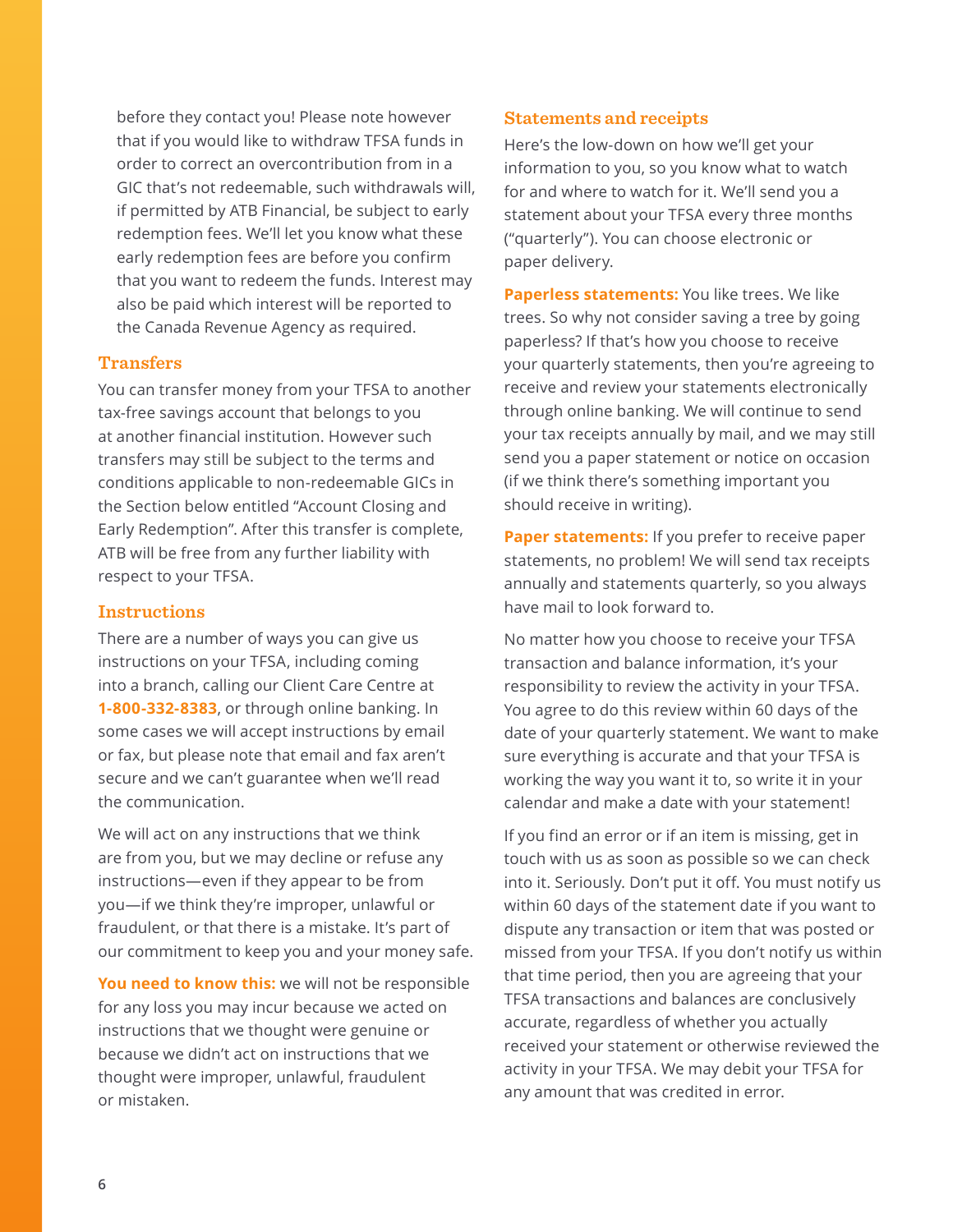<span id="page-5-0"></span>before they contact you! Please note however that if you would like to withdraw TFSA funds in order to correct an overcontribution from in a GIC that's not redeemable, such withdrawals will, if permitted by ATB Financial, be subject to early redemption fees. We'll let you know what these early redemption fees are before you confirm that you want to redeem the funds. Interest may also be paid which interest will be reported to the Canada Revenue Agency as required.

#### **Transfers**

You can transfer money from your TFSA to another tax-free savings account that belongs to you at another financial institution. However such transfers may still be subject to the terms and conditions applicable to non-redeemable GICs in the Section below entitled "Account Closing and Early Redemption". After this transfer is complete, ATB will be free from any further liability with respect to your TFSA.

#### **Instructions**

There are a number of ways you can give us instructions on your TFSA, including coming into a branch, calling our Client Care Centre at **1-800-332-8383**, or through online banking. In some cases we will accept instructions by email or fax, but please note that email and fax aren't secure and we can't guarantee when we'll read the communication.

We will act on any instructions that we think are from you, but we may decline or refuse any instructions—even if they appear to be from you—if we think they're improper, unlawful or fraudulent, or that there is a mistake. It's part of our commitment to keep you and your money safe.

**You need to know this:** we will not be responsible for any loss you may incur because we acted on instructions that we thought were genuine or because we didn't act on instructions that we thought were improper, unlawful, fraudulent or mistaken.

#### **Statements and receipts**

Here's the low-down on how we'll get your information to you, so you know what to watch for and where to watch for it. We'll send you a statement about your TFSA every three months ("quarterly"). You can choose electronic or paper delivery.

**Paperless statements:** You like trees. We like trees. So why not consider saving a tree by going paperless? If that's how you choose to receive your quarterly statements, then you're agreeing to receive and review your statements electronically through online banking. We will continue to send your tax receipts annually by mail, and we may still send you a paper statement or notice on occasion (if we think there's something important you should receive in writing).

**Paper statements:** If you prefer to receive paper statements, no problem! We will send tax receipts annually and statements quarterly, so you always have mail to look forward to.

No matter how you choose to receive your TFSA transaction and balance information, it's your responsibility to review the activity in your TFSA. You agree to do this review within 60 days of the date of your quarterly statement. We want to make sure everything is accurate and that your TFSA is working the way you want it to, so write it in your calendar and make a date with your statement!

If you find an error or if an item is missing, get in touch with us as soon as possible so we can check into it. Seriously. Don't put it off. You must notify us within 60 days of the statement date if you want to dispute any transaction or item that was posted or missed from your TFSA. If you don't notify us within that time period, then you are agreeing that your TFSA transactions and balances are conclusively accurate, regardless of whether you actually received your statement or otherwise reviewed the activity in your TFSA. We may debit your TFSA for any amount that was credited in error.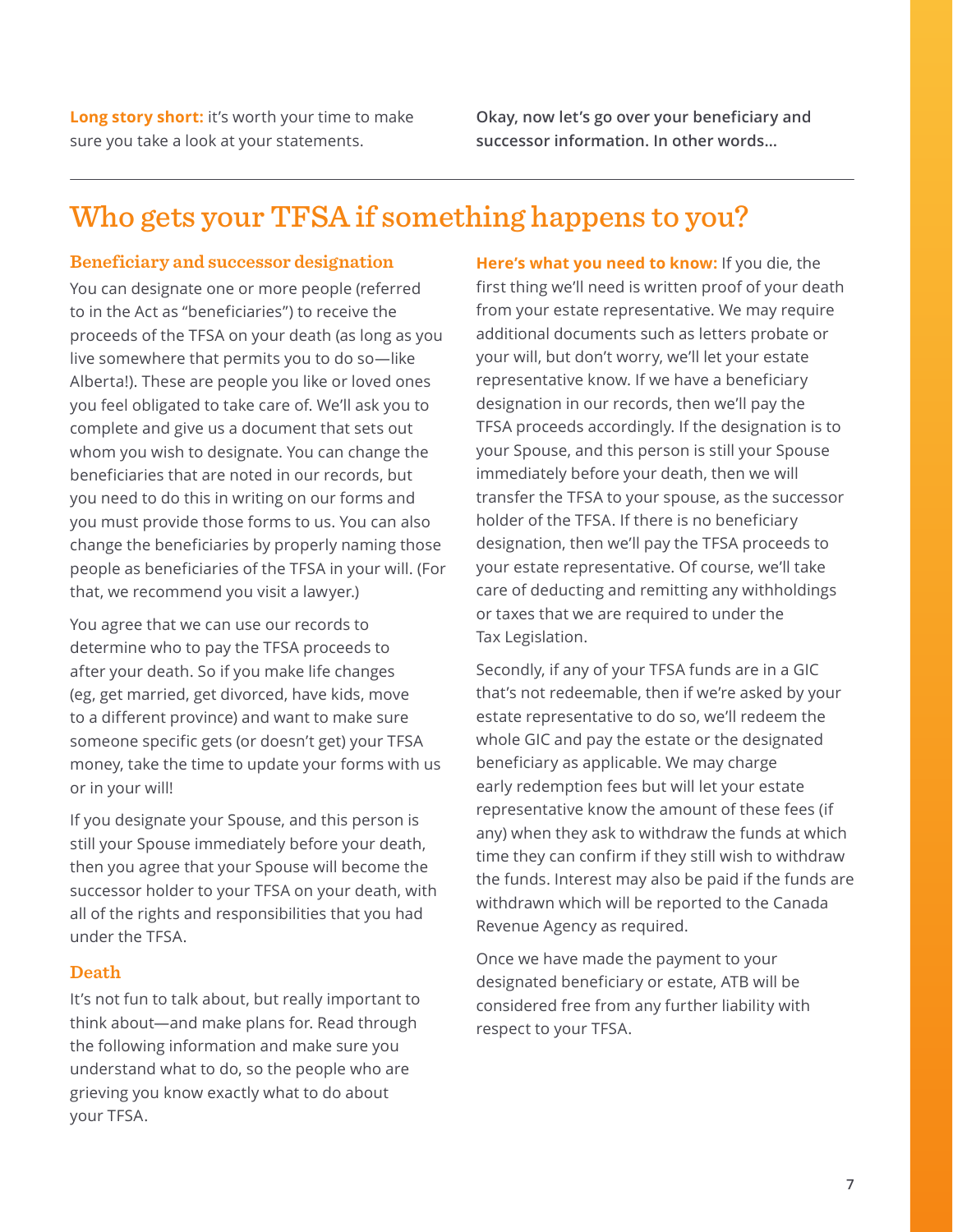<span id="page-6-0"></span>**Long story short:** it's worth your time to make sure you take a look at your statements.

**Okay, now let's go over your beneficiary and successor information. In other words…**

# Who gets your TFSA if something happens to you?

#### **Beneficiary and successor designation**

You can designate one or more people (referred to in the Act as "beneficiaries") to receive the proceeds of the TFSA on your death (as long as you live somewhere that permits you to do so—like Alberta!). These are people you like or loved ones you feel obligated to take care of. We'll ask you to complete and give us a document that sets out whom you wish to designate. You can change the beneficiaries that are noted in our records, but you need to do this in writing on our forms and you must provide those forms to us. You can also change the beneficiaries by properly naming those people as beneficiaries of the TFSA in your will. (For that, we recommend you visit a lawyer.)

You agree that we can use our records to determine who to pay the TFSA proceeds to after your death. So if you make life changes (eg, get married, get divorced, have kids, move to a different province) and want to make sure someone specific gets (or doesn't get) your TFSA money, take the time to update your forms with us or in your will!

If you designate your Spouse, and this person is still your Spouse immediately before your death, then you agree that your Spouse will become the successor holder to your TFSA on your death, with all of the rights and responsibilities that you had under the TFSA.

#### **Death**

It's not fun to talk about, but really important to think about—and make plans for. Read through the following information and make sure you understand what to do, so the people who are grieving you know exactly what to do about your TFSA.

**Here's what you need to know:** If you die, the first thing we'll need is written proof of your death from your estate representative. We may require additional documents such as letters probate or your will, but don't worry, we'll let your estate representative know. If we have a beneficiary designation in our records, then we'll pay the TFSA proceeds accordingly. If the designation is to your Spouse, and this person is still your Spouse immediately before your death, then we will transfer the TFSA to your spouse, as the successor holder of the TFSA. If there is no beneficiary designation, then we'll pay the TFSA proceeds to your estate representative. Of course, we'll take care of deducting and remitting any withholdings or taxes that we are required to under the Tax Legislation.

Secondly, if any of your TFSA funds are in a GIC that's not redeemable, then if we're asked by your estate representative to do so, we'll redeem the whole GIC and pay the estate or the designated beneficiary as applicable. We may charge early redemption fees but will let your estate representative know the amount of these fees (if any) when they ask to withdraw the funds at which time they can confirm if they still wish to withdraw the funds. Interest may also be paid if the funds are withdrawn which will be reported to the Canada Revenue Agency as required.

Once we have made the payment to your designated beneficiary or estate, ATB will be considered free from any further liability with respect to your TFSA.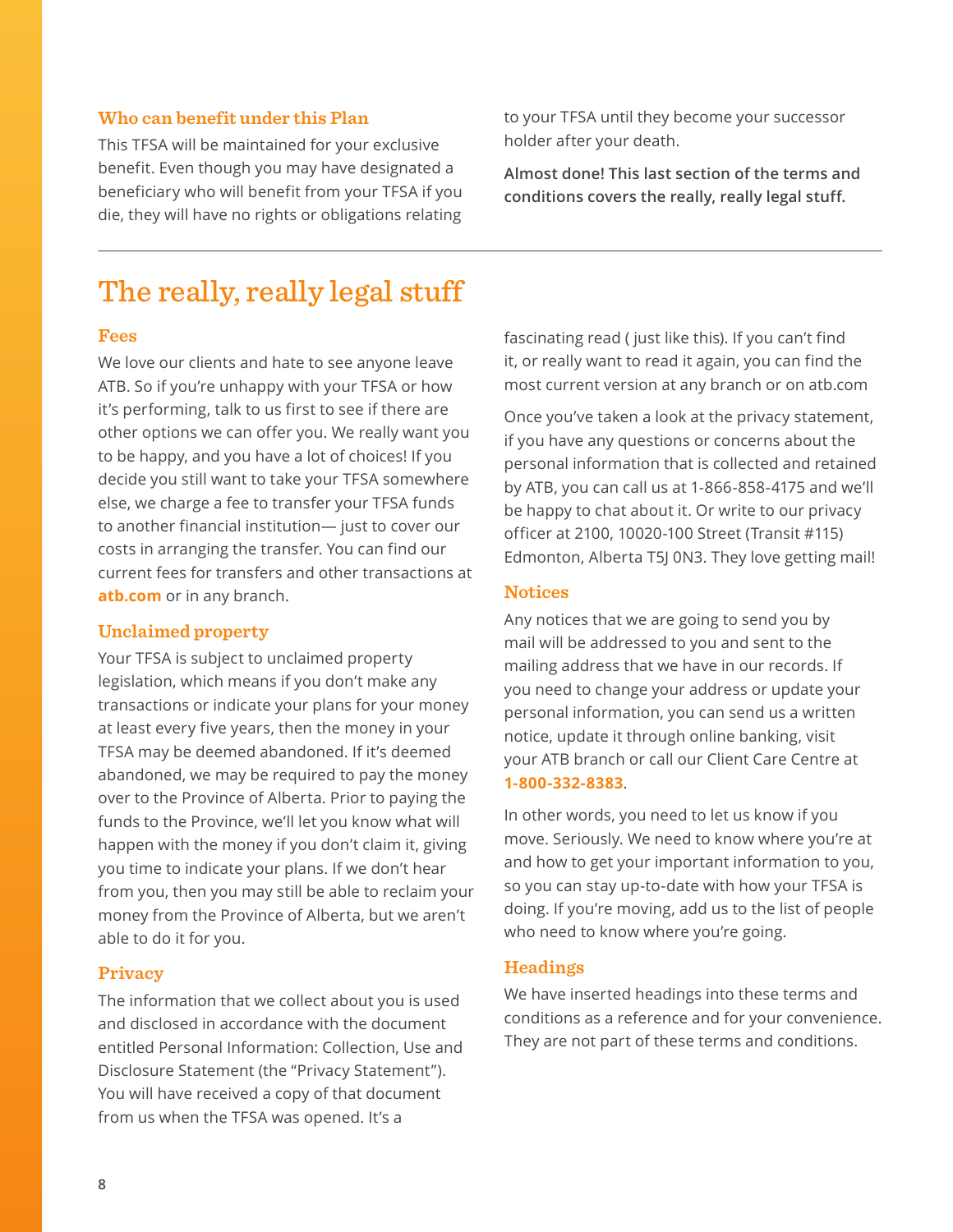#### <span id="page-7-0"></span>**Who can benefit under this Plan**

This TFSA will be maintained for your exclusive benefit. Even though you may have designated a beneficiary who will benefit from your TFSA if you die, they will have no rights or obligations relating to your TFSA until they become your successor holder after your death.

**Almost done! This last section of the terms and conditions covers the really, really legal stuff.**

### The really, really legal stuff

#### **Fees**

We love our clients and hate to see anyone leave ATB. So if you're unhappy with your TFSA or how it's performing, talk to us first to see if there are other options we can offer you. We really want you to be happy, and you have a lot of choices! If you decide you still want to take your TFSA somewhere else, we charge a fee to transfer your TFSA funds to another financial institution— just to cover our costs in arranging the transfer. You can find our current fees for transfers and other transactions at **atb.com** or in any branch.

#### **Unclaimed property**

Your TFSA is subject to unclaimed property legislation, which means if you don't make any transactions or indicate your plans for your money at least every five years, then the money in your TFSA may be deemed abandoned. If it's deemed abandoned, we may be required to pay the money over to the Province of Alberta. Prior to paying the funds to the Province, we'll let you know what will happen with the money if you don't claim it, giving you time to indicate your plans. If we don't hear from you, then you may still be able to reclaim your money from the Province of Alberta, but we aren't able to do it for you.

#### **Privacy**

The information that we collect about you is used and disclosed in accordance with the document entitled Personal Information: Collection, Use and Disclosure Statement (the "Privacy Statement"). You will have received a copy of that document from us when the TFSA was opened. It's a

fascinating read ( just like this). If you can't find it, or really want to read it again, you can find the most current version at any branch or on atb.com

Once you've taken a look at the privacy statement, if you have any questions or concerns about the personal information that is collected and retained by ATB, you can call us at 1-866-858-4175 and we'll be happy to chat about it. Or write to our privacy officer at 2100, 10020-100 Street (Transit #115) Edmonton, Alberta T5J 0N3. They love getting mail!

#### **Notices**

Any notices that we are going to send you by mail will be addressed to you and sent to the mailing address that we have in our records. If you need to change your address or update your personal information, you can send us a written notice, update it through online banking, visit your ATB branch or call our Client Care Centre at **1-800-332-8383**.

In other words, you need to let us know if you move. Seriously. We need to know where you're at and how to get your important information to you, so you can stay up-to-date with how your TFSA is doing. If you're moving, add us to the list of people who need to know where you're going.

#### **Headings**

We have inserted headings into these terms and conditions as a reference and for your convenience. They are not part of these terms and conditions.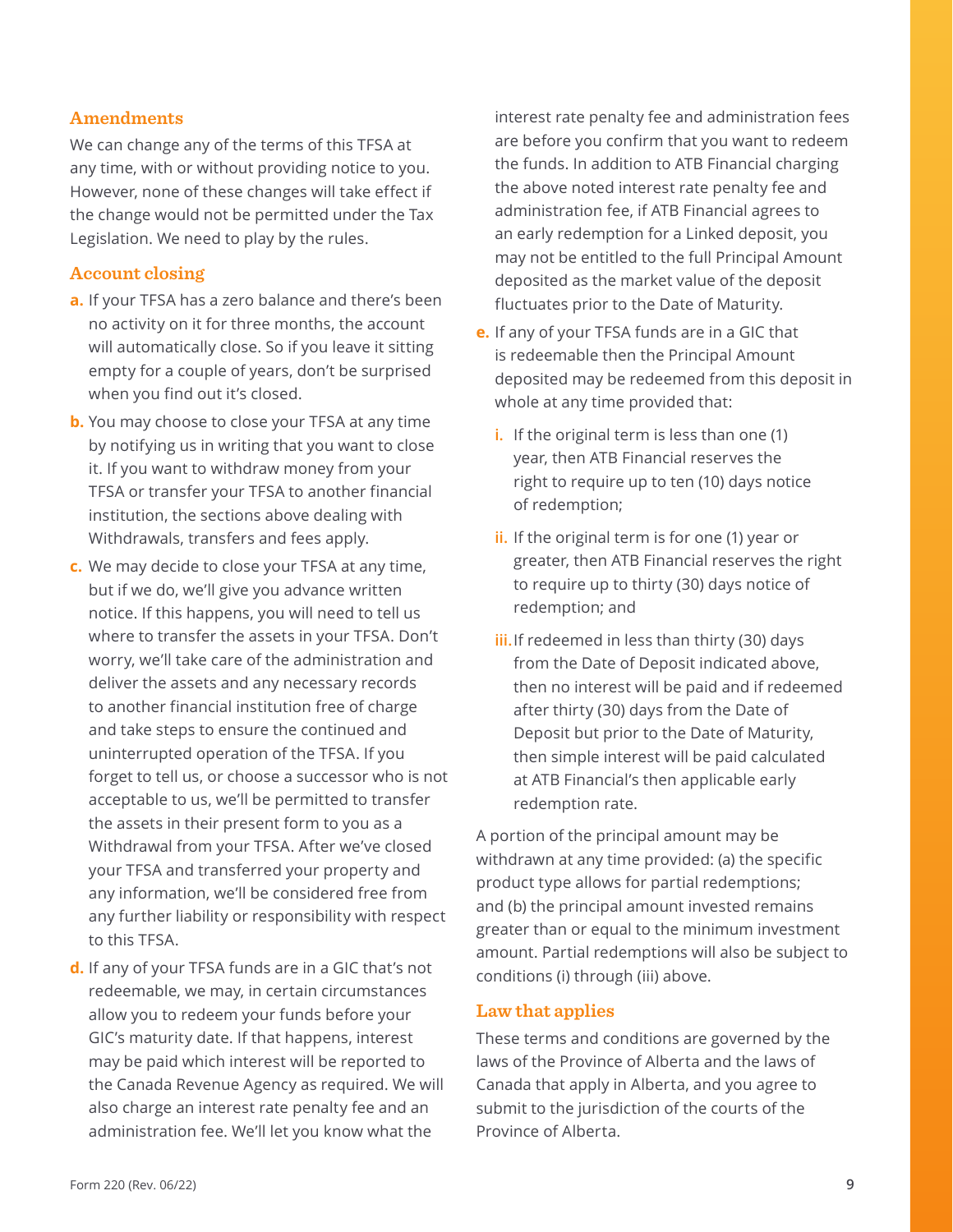#### <span id="page-8-0"></span>**Amendments**

We can change any of the terms of this TFSA at any time, with or without providing notice to you. However, none of these changes will take effect if the change would not be permitted under the Tax Legislation. We need to play by the rules.

#### **Account closing**

- **a.** If your TFSA has a zero balance and there's been no activity on it for three months, the account will automatically close. So if you leave it sitting empty for a couple of years, don't be surprised when you find out it's closed.
- **b.** You may choose to close your TFSA at any time by notifying us in writing that you want to close it. If you want to withdraw money from your TFSA or transfer your TFSA to another financial institution, the sections above dealing with Withdrawals, transfers and fees apply.
- **c.** We may decide to close your TFSA at any time, but if we do, we'll give you advance written notice. If this happens, you will need to tell us where to transfer the assets in your TFSA. Don't worry, we'll take care of the administration and deliver the assets and any necessary records to another financial institution free of charge and take steps to ensure the continued and uninterrupted operation of the TFSA. If you forget to tell us, or choose a successor who is not acceptable to us, we'll be permitted to transfer the assets in their present form to you as a Withdrawal from your TFSA. After we've closed your TFSA and transferred your property and any information, we'll be considered free from any further liability or responsibility with respect to this TFSA.
- **d.** If any of your TFSA funds are in a GIC that's not redeemable, we may, in certain circumstances allow you to redeem your funds before your GIC's maturity date. If that happens, interest may be paid which interest will be reported to the Canada Revenue Agency as required. We will also charge an interest rate penalty fee and an administration fee. We'll let you know what the

interest rate penalty fee and administration fees are before you confirm that you want to redeem the funds. In addition to ATB Financial charging the above noted interest rate penalty fee and administration fee, if ATB Financial agrees to an early redemption for a Linked deposit, you may not be entitled to the full Principal Amount deposited as the market value of the deposit fluctuates prior to the Date of Maturity.

- **e.** If any of your TFSA funds are in a GIC that is redeemable then the Principal Amount deposited may be redeemed from this deposit in whole at any time provided that:
	- **i.** If the original term is less than one (1) year, then ATB Financial reserves the right to require up to ten (10) days notice of redemption;
	- **ii.** If the original term is for one (1) year or greater, then ATB Financial reserves the right to require up to thirty (30) days notice of redemption; and
	- **iii.**If redeemed in less than thirty (30) days from the Date of Deposit indicated above, then no interest will be paid and if redeemed after thirty (30) days from the Date of Deposit but prior to the Date of Maturity, then simple interest will be paid calculated at ATB Financial's then applicable early redemption rate.

A portion of the principal amount may be withdrawn at any time provided: (a) the specific product type allows for partial redemptions; and (b) the principal amount invested remains greater than or equal to the minimum investment amount. Partial redemptions will also be subject to conditions (i) through (iii) above.

#### **Law that applies**

These terms and conditions are governed by the laws of the Province of Alberta and the laws of Canada that apply in Alberta, and you agree to submit to the jurisdiction of the courts of the Province of Alberta.